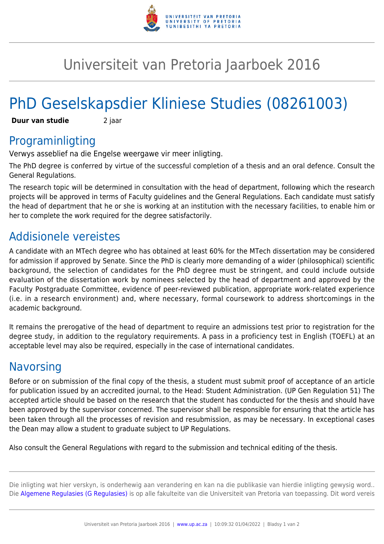

## Universiteit van Pretoria Jaarboek 2016

# PhD Geselskapsdier Kliniese Studies (08261003)

**Duur van studie** 2 jaar

### Programinligting

Verwys asseblief na die Engelse weergawe vir meer inligting.

The PhD degree is conferred by virtue of the successful completion of a thesis and an oral defence. Consult the General Regulations.

The research topic will be determined in consultation with the head of department, following which the research projects will be approved in terms of Faculty guidelines and the General Regulations. Each candidate must satisfy the head of department that he or she is working at an institution with the necessary facilities, to enable him or her to complete the work required for the degree satisfactorily.

### Addisionele vereistes

A candidate with an MTech degree who has obtained at least 60% for the MTech dissertation may be considered for admission if approved by Senate. Since the PhD is clearly more demanding of a wider (philosophical) scientific background, the selection of candidates for the PhD degree must be stringent, and could include outside evaluation of the dissertation work by nominees selected by the head of department and approved by the Faculty Postgraduate Committee, evidence of peer-reviewed publication, appropriate work-related experience (i.e. in a research environment) and, where necessary, formal coursework to address shortcomings in the academic background.

It remains the prerogative of the head of department to require an admissions test prior to registration for the degree study, in addition to the regulatory requirements. A pass in a proficiency test in English (TOEFL) at an acceptable level may also be required, especially in the case of international candidates.

#### **Navorsing**

Before or on submission of the final copy of the thesis, a student must submit proof of acceptance of an article for publication issued by an accredited journal, to the Head: Student Administration. (UP Gen Regulation 51) The accepted article should be based on the research that the student has conducted for the thesis and should have been approved by the supervisor concerned. The supervisor shall be responsible for ensuring that the article has been taken through all the processes of revision and resubmission, as may be necessary. In exceptional cases the Dean may allow a student to graduate subject to UP Regulations.

Also consult the General Regulations with regard to the submission and technical editing of the thesis.

Die inligting wat hier verskyn, is onderhewig aan verandering en kan na die publikasie van hierdie inligting gewysig word.. Die [Algemene Regulasies \(G Regulasies\)](https://www.up.ac.za/yearbooks/2016/rules/view/REG/lg/af) is op alle fakulteite van die Universiteit van Pretoria van toepassing. Dit word vereis